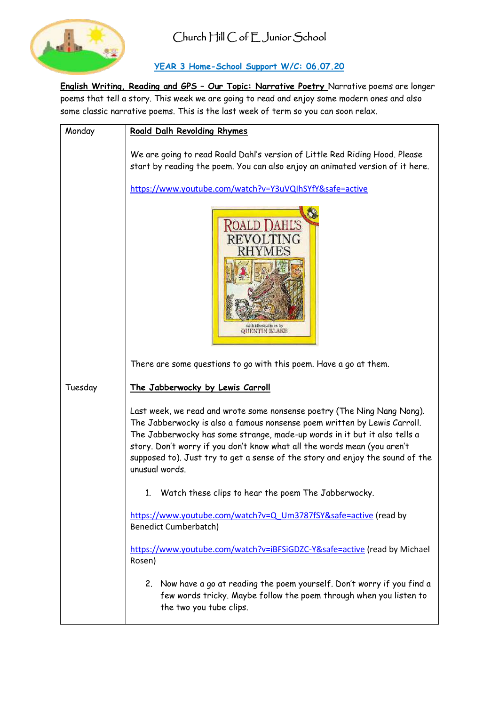

## **YEAR 3 Home-School Support W/C: 06.07.20**

**English Writing, Reading and GPS – Our Topic: Narrative Poetry** Narrative poems are longer poems that tell a story. This week we are going to read and enjoy some modern ones and also some classic narrative poems. This is the last week of term so you can soon relax.

| Monday  | Roald Dalh Revolding Rhymes                                                                                                                                                                                                                                                                                                                                                                                     |
|---------|-----------------------------------------------------------------------------------------------------------------------------------------------------------------------------------------------------------------------------------------------------------------------------------------------------------------------------------------------------------------------------------------------------------------|
|         | We are going to read Roald Dahl's version of Little Red Riding Hood. Please<br>start by reading the poem. You can also enjoy an animated version of it here.                                                                                                                                                                                                                                                    |
|         | https://www.youtube.com/watch?v=Y3uVQIhSYfY&safe=active                                                                                                                                                                                                                                                                                                                                                         |
|         | <b>ROALD DAHL'S</b><br>REVOLTING<br>with illustrations by<br><b>QUENTIN BLAKE</b>                                                                                                                                                                                                                                                                                                                               |
|         | There are some questions to go with this poem. Have a go at them.                                                                                                                                                                                                                                                                                                                                               |
| Tuesday | The Jabberwocky by Lewis Carroll                                                                                                                                                                                                                                                                                                                                                                                |
|         | Last week, we read and wrote some nonsense poetry (The Ning Nang Nong).<br>The Jabberwocky is also a famous nonsense poem written by Lewis Carroll.<br>The Jabberwocky has some strange, made-up words in it but it also tells a<br>story. Don't worry if you don't know what all the words mean (you aren't<br>supposed to). Just try to get a sense of the story and enjoy the sound of the<br>unusual words. |
|         | Watch these clips to hear the poem The Jabberwocky.<br>1.                                                                                                                                                                                                                                                                                                                                                       |
|         | https://www.youtube.com/watch?v=Q_Um3787fSY&safe=active (read by<br><b>Benedict Cumberbatch)</b>                                                                                                                                                                                                                                                                                                                |
|         | https://www.youtube.com/watch?v=iBFSiGDZC-Y&safe=active (read by Michael<br>Rosen)                                                                                                                                                                                                                                                                                                                              |
|         | 2. Now have a go at reading the poem yourself. Don't worry if you find a<br>few words tricky. Maybe follow the poem through when you listen to<br>the two you tube clips.                                                                                                                                                                                                                                       |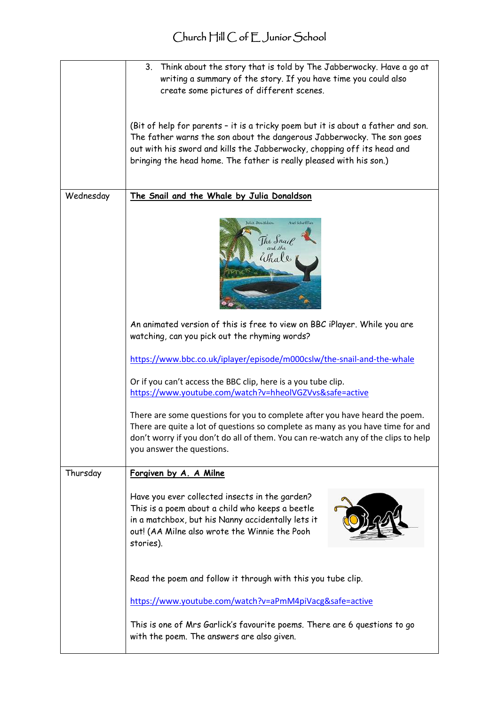|           | Think about the story that is told by The Jabberwocky. Have a go at<br>3.<br>writing a summary of the story. If you have time you could also<br>create some pictures of different scenes.                                                                                                                    |
|-----------|--------------------------------------------------------------------------------------------------------------------------------------------------------------------------------------------------------------------------------------------------------------------------------------------------------------|
|           | (Bit of help for parents - it is a tricky poem but it is about a father and son.<br>The father warns the son about the dangerous Jabberwocky. The son goes<br>out with his sword and kills the Jabberwocky, chopping off its head and<br>bringing the head home. The father is really pleased with his son.) |
| Wednesday | The Snail and the Whale by Julia Donaldson                                                                                                                                                                                                                                                                   |
|           | Julia Donaldion<br>Auct Scheffler<br>The S <i>nail</i><br>and the<br>Whal &                                                                                                                                                                                                                                  |
|           | An animated version of this is free to view on BBC iPlayer. While you are<br>watching, can you pick out the rhyming words?                                                                                                                                                                                   |
|           | https://www.bbc.co.uk/iplayer/episode/m000cslw/the-snail-and-the-whale                                                                                                                                                                                                                                       |
|           | Or if you can't access the BBC clip, here is a you tube clip.<br>https://www.youtube.com/watch?v=hheolVGZVvs&safe=active                                                                                                                                                                                     |
|           | There are some questions for you to complete after you have heard the poem.<br>There are quite a lot of questions so complete as many as you have time for and<br>don't worry if you don't do all of them. You can re-watch any of the clips to help<br>you answer the questions.                            |
| Thursday  | Forgiven by A. A Milne                                                                                                                                                                                                                                                                                       |
|           | Have you ever collected insects in the garden?<br>This is a poem about a child who keeps a beetle<br>in a matchbox, but his Nanny accidentally lets it<br>out! (AA Milne also wrote the Winnie the Pooh<br>stories).                                                                                         |
|           | Read the poem and follow it through with this you tube clip.                                                                                                                                                                                                                                                 |
|           | https://www.youtube.com/watch?v=aPmM4piVacg&safe=active                                                                                                                                                                                                                                                      |
|           | This is one of Mrs Garlick's favourite poems. There are 6 questions to go<br>with the poem. The answers are also given.                                                                                                                                                                                      |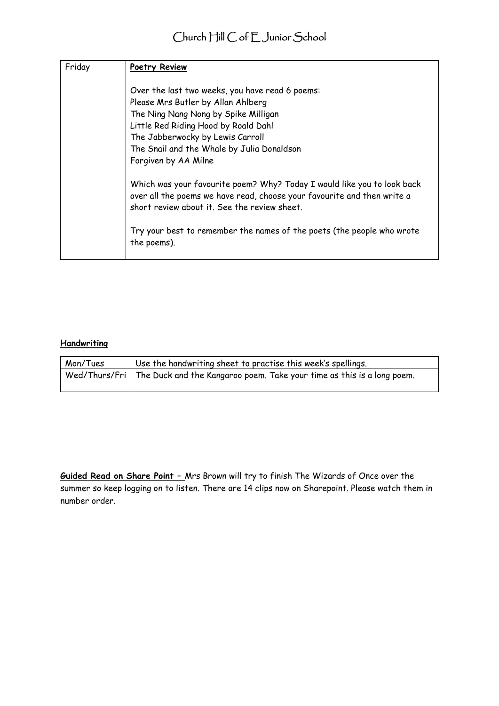| Friday | Poetry Review                                                                                                                                                                                                                                                                               |
|--------|---------------------------------------------------------------------------------------------------------------------------------------------------------------------------------------------------------------------------------------------------------------------------------------------|
|        | Over the last two weeks, you have read 6 poems:<br>Please Mrs Butler by Allan Ahlberg<br>The Ning Nang Nong by Spike Milligan<br>Little Red Riding Hood by Roald Dahl<br>The Jabberwocky by Lewis Carroll<br>The Snail and the Whale by Julia Donaldson<br>Forgiven by AA Milne             |
|        | Which was your favourite poem? Why? Today I would like you to look back<br>over all the poems we have read, choose your favourite and then write a<br>short review about it. See the review sheet.<br>Try your best to remember the names of the poets (the people who wrote<br>the poems). |

#### **Handwriting**

| Mon/Tues | Use the handwriting sheet to practise this week's spellings.                           |
|----------|----------------------------------------------------------------------------------------|
|          | Wed/Thurs/Fri   The Duck and the Kangaroo poem. Take your time as this is a long poem. |

**Guided Read on Share Point –** Mrs Brown will try to finish The Wizards of Once over the summer so keep logging on to listen. There are 14 clips now on Sharepoint. Please watch them in number order.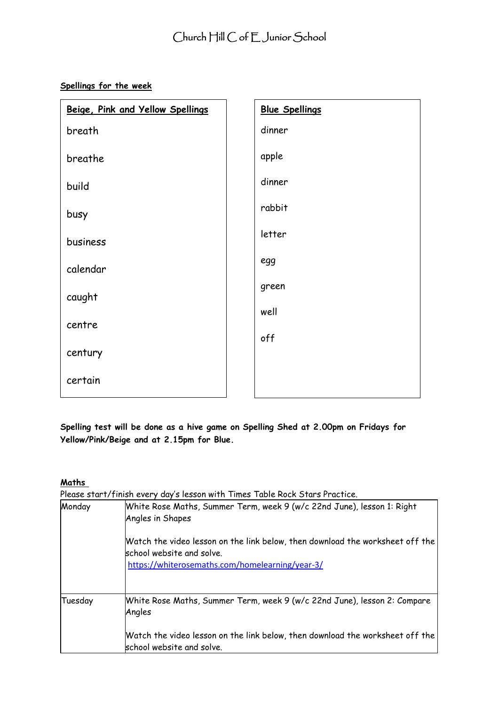**Spellings for the week**

| Beige, Pink and Yellow Spellings | <b>Blue Spellings</b> |
|----------------------------------|-----------------------|
| breath                           | dinner                |
| breathe                          | apple                 |
| build                            | dinner                |
| busy                             | rabbit                |
| business                         | letter                |
| calendar                         | egg                   |
| caught                           | green                 |
| centre                           | well                  |
|                                  | off                   |
| century                          |                       |
| certain                          |                       |

**Spelling test will be done as a hive game on Spelling Shed at 2.00pm on Fridays for Yellow/Pink/Beige and at 2.15pm for Blue.**

#### **Maths**

Please start/finish every day's lesson with Times Table Rock Stars Practice.

| Monday  | White Rose Maths, Summer Term, week 9 (w/c 22nd June), lesson 1: Right<br>Angles in Shapes                                                                           |  |  |
|---------|----------------------------------------------------------------------------------------------------------------------------------------------------------------------|--|--|
|         | Watch the video lesson on the link below, then download the worksheet off the $\mid$<br>school website and solve.<br>https://whiterosemaths.com/homelearning/year-3/ |  |  |
| Tuesday | White Rose Maths, Summer Term, week 9 (w/c 22nd June), lesson 2: Compare<br>Angles                                                                                   |  |  |
|         | Watch the video lesson on the link below, then download the worksheet off the l<br>school website and solve.                                                         |  |  |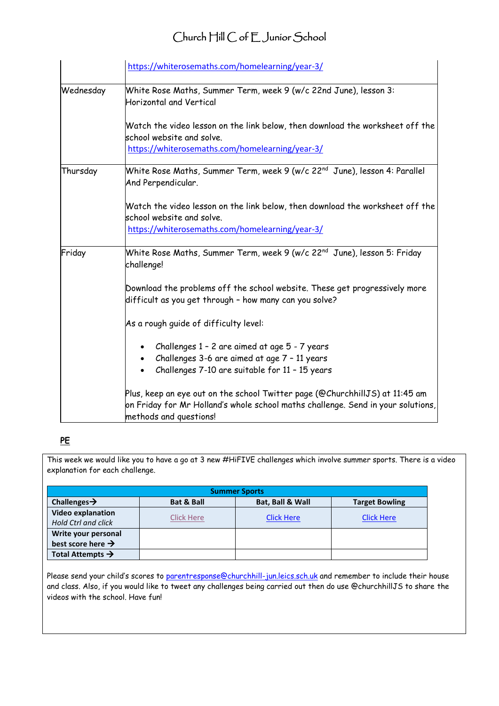|           | https://whiterosemaths.com/homelearning/year-3/                                                                                                                                                 |
|-----------|-------------------------------------------------------------------------------------------------------------------------------------------------------------------------------------------------|
| Wednesday | White Rose Maths, Summer Term, week 9 (w/c 22nd June), lesson 3:<br><b>Horizontal and Vertical</b>                                                                                              |
|           | Watch the video lesson on the link below, then download the worksheet off the<br>school website and solve.<br>https://whiterosemaths.com/homelearning/year-3/                                   |
| Thursday  | White Rose Maths, Summer Term, week 9 (w/c 22 <sup>nd</sup> June), lesson 4: Parallel<br>And Perpendicular.                                                                                     |
|           | Watch the video lesson on the link below, then download the worksheet off the<br>school website and solve.<br>https://whiterosemaths.com/homelearning/year-3/                                   |
| Friday    | White Rose Maths, Summer Term, week 9 (w/c 22 <sup>nd</sup> June), lesson 5: Friday<br>challenge!                                                                                               |
|           | Download the problems off the school website. These get progressively more<br>difficult as you get through - how many can you solve?                                                            |
|           | As a rough guide of difficulty level:                                                                                                                                                           |
|           | Challenges 1 - 2 are aimed at age 5 - 7 years<br>Challenges 3-6 are aimed at age 7 - 11 years<br>Challenges 7-10 are suitable for 11 - 15 years                                                 |
|           | $\,$ Plus, keep an eye out on the school Twitter page (@ChurchhillJS) at 11:45 am<br>on Friday for Mr Holland's whole school maths challenge. Send in your solutions,<br>methods and questions! |

## **PE**

This week we would like you to have a go at 3 new #HiFIVE challenges which involve summer sports. There is a video explanation for each challenge.

| <b>Summer Sports</b>          |                       |                   |                       |
|-------------------------------|-----------------------|-------------------|-----------------------|
| Challenges $\rightarrow$      | <b>Bat &amp; Ball</b> | Bat, Ball & Wall  | <b>Target Bowling</b> |
| <b>Video explanation</b>      |                       |                   | <b>Click Here</b>     |
| <b>Hold Ctrl and click</b>    | Click Here            | <b>Click Here</b> |                       |
| Write your personal           |                       |                   |                       |
| best score here $\rightarrow$ |                       |                   |                       |
| Total Attempts $\rightarrow$  |                       |                   |                       |

Please send your child's scores to [parentresponse@churchhill-jun.leics.sch.uk](mailto:parentresponse@churchhill-jun.leics.sch.uk) and remember to include their house and class. Also, if you would like to tweet any challenges being carried out then do use @churchhillJS to share the videos with the school. Have fun!